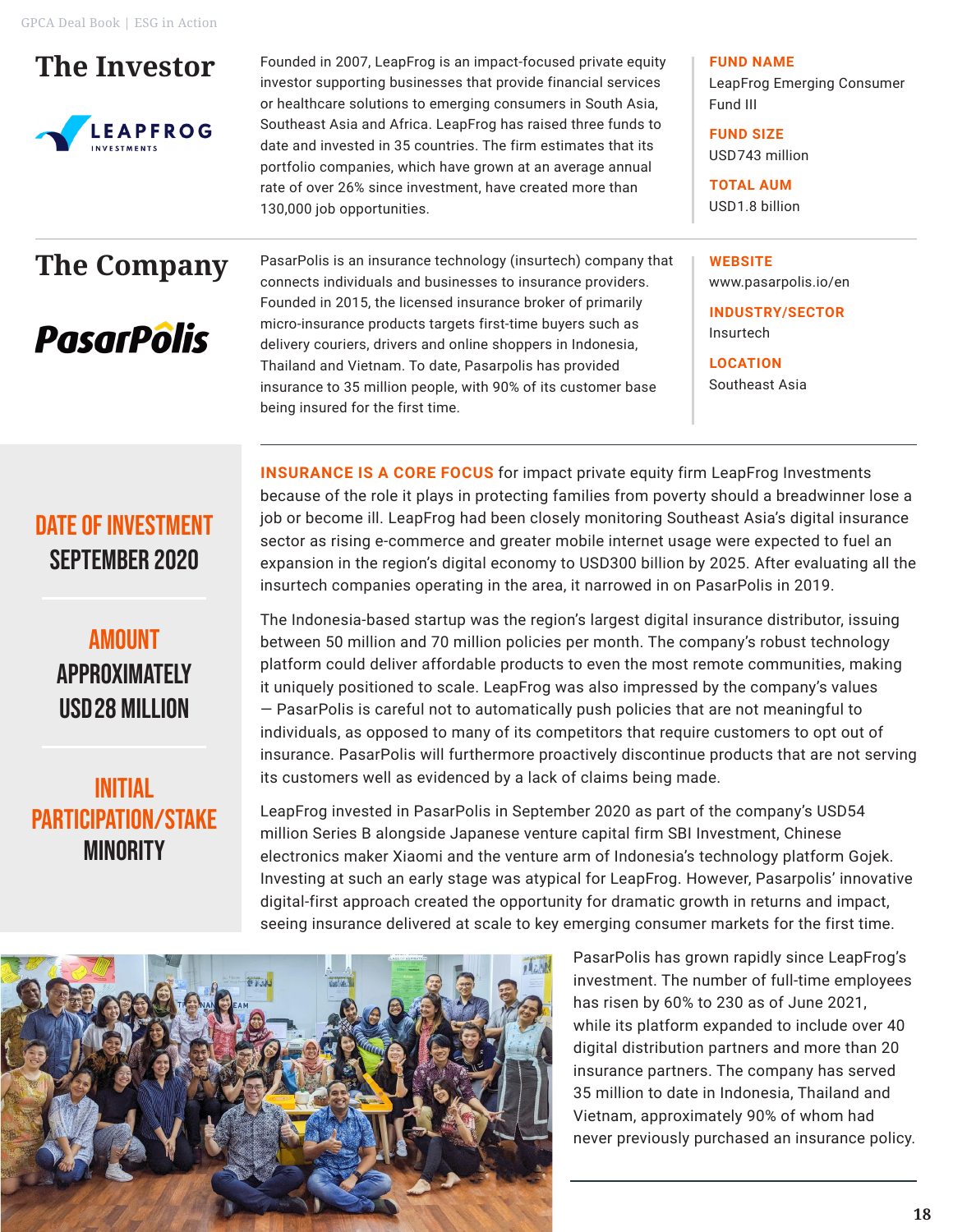## **The Investor**



Founded in 2007, LeapFrog is an impact-focused private equity investor supporting businesses that provide financial services or healthcare solutions to emerging consumers in South Asia, Southeast Asia and Africa. LeapFrog has raised three funds to date and invested in 35 countries. The firm estimates that its portfolio companies, which have grown at an average annual rate of over 26% since investment, have created more than 130,000 job opportunities.

**FUND NAME** LeapFrog Emerging Consumer

Fund III

**FUND SIZE** USD743 million

**TOTAL AUM** USD1.8 billion

**WEBSITE**

# **The Company**

**PasarPôlis** 

PasarPolis is an insurance technology (insurtech) company that connects individuals and businesses to insurance providers. Founded in 2015, the licensed insurance broker of primarily micro-insurance products targets first-time buyers such as delivery couriers, drivers and online shoppers in Indonesia, Thailand and Vietnam. To date, Pasarpolis has provided insurance to 35 million people, with 90% of its customer base being insured for the first time.

www.pasarpolis.io/en **INDUSTRY/SECTOR** Insurtech

**LOCATION** Southeast Asia

## DATE OF INVESTMENT SEPTEMBER 2020

**AMOUNT** APPROXIMATELY USD28 Million

#### INITIAL PARTICIPATION/Stake **MINORITY**

**INSURANCE IS A CORE FOCUS** for impact private equity firm LeapFrog Investments because of the role it plays in protecting families from poverty should a breadwinner lose a job or become ill. LeapFrog had been closely monitoring Southeast Asia's digital insurance sector as rising e-commerce and greater mobile internet usage were expected to fuel an expansion in the region's digital economy to USD300 billion by 2025. After evaluating all the insurtech companies operating in the area, it narrowed in on PasarPolis in 2019.

The Indonesia-based startup was the region's largest digital insurance distributor, issuing between 50 million and 70 million policies per month. The company's robust technology platform could deliver affordable products to even the most remote communities, making it uniquely positioned to scale. LeapFrog was also impressed by the company's values — PasarPolis is careful not to automatically push policies that are not meaningful to individuals, as opposed to many of its competitors that require customers to opt out of insurance. PasarPolis will furthermore proactively discontinue products that are not serving its customers well as evidenced by a lack of claims being made.

LeapFrog invested in PasarPolis in September 2020 as part of the company's USD54 million Series B alongside Japanese venture capital firm SBI Investment, Chinese electronics maker Xiaomi and the venture arm of Indonesia's technology platform Gojek. Investing at such an early stage was atypical for LeapFrog. However, Pasarpolis' innovative digital-first approach created the opportunity for dramatic growth in returns and impact, seeing insurance delivered at scale to key emerging consumer markets for the first time.



PasarPolis has grown rapidly since LeapFrog's investment. The number of full-time employees has risen by 60% to 230 as of June 2021, while its platform expanded to include over 40 digital distribution partners and more than 20 insurance partners. The company has served 35 million to date in Indonesia, Thailand and Vietnam, approximately 90% of whom had never previously purchased an insurance policy.